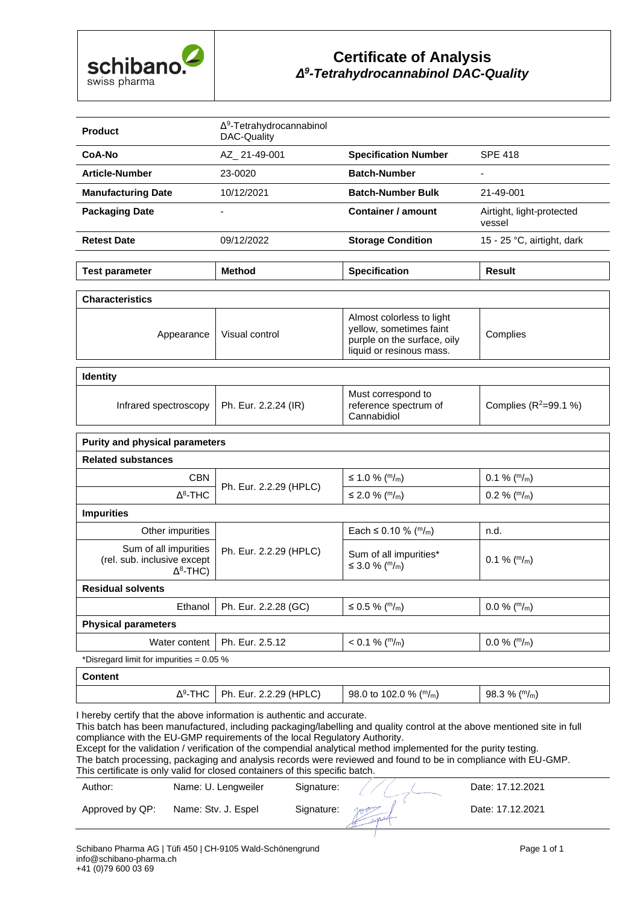

#### **Certificate of Analysis** *Δ9 -Tetrahydrocannabinol DAC-Quality*

| <b>Product</b>            | $\Delta^9$ -Tetrahydrocannabinol<br>DAC-Quality |                             |                                     |
|---------------------------|-------------------------------------------------|-----------------------------|-------------------------------------|
| CoA-No                    | AZ 21-49-001                                    | <b>Specification Number</b> | <b>SPF 418</b>                      |
| <b>Article-Number</b>     | 23-0020                                         | <b>Batch-Number</b>         |                                     |
| <b>Manufacturing Date</b> | 10/12/2021                                      | <b>Batch-Number Bulk</b>    | 21-49-001                           |
| <b>Packaging Date</b>     | ۰                                               | Container / amount          | Airtight, light-protected<br>vessel |
| <b>Retest Date</b>        | 09/12/2022                                      | <b>Storage Condition</b>    | 15 - 25 °C, airtight, dark          |
|                           |                                                 |                             |                                     |
| <b>Test parameter</b>     | <b>Method</b>                                   | <b>Specification</b>        | <b>Result</b>                       |

| Almost colorless to light<br>yellow, sometimes faint<br>Visual control<br>Complies<br>Appearance<br>purple on the surface, oily<br>liquid or resinous mass. | <b>Characteristics</b> |  |  |  |  |
|-------------------------------------------------------------------------------------------------------------------------------------------------------------|------------------------|--|--|--|--|
|                                                                                                                                                             |                        |  |  |  |  |

| <b>Identity</b>                              |                                                            |                         |
|----------------------------------------------|------------------------------------------------------------|-------------------------|
| Infrared spectroscopy   Ph. Eur. 2.2.24 (IR) | Must correspond to<br>reference spectrum of<br>Cannabidiol | Complies $(R^2=99.1\%)$ |
|                                              |                                                            |                         |

| <b>Purity and physical parameters</b>                                                                                                                                                                                                                                                                                                                                                                                       |                        |                                                                   |                    |
|-----------------------------------------------------------------------------------------------------------------------------------------------------------------------------------------------------------------------------------------------------------------------------------------------------------------------------------------------------------------------------------------------------------------------------|------------------------|-------------------------------------------------------------------|--------------------|
| <b>Related substances</b>                                                                                                                                                                                                                                                                                                                                                                                                   |                        |                                                                   |                    |
| <b>CBN</b>                                                                                                                                                                                                                                                                                                                                                                                                                  |                        | ≤ 1.0 % ( <sup>m</sup> / <sub>m</sub> )                           | $0.1 \%$ ( $m/m$ ) |
| $\Delta^8$ -THC                                                                                                                                                                                                                                                                                                                                                                                                             | Ph. Eur. 2.2.29 (HPLC) | ≤ 2.0 % ( <sup>m</sup> / <sub>m</sub> )                           | $0.2 \%$ ( $m/m$ ) |
| <b>Impurities</b>                                                                                                                                                                                                                                                                                                                                                                                                           |                        |                                                                   |                    |
| Other impurities                                                                                                                                                                                                                                                                                                                                                                                                            |                        | Each $\leq$ 0.10 % ( $m/m$ )                                      | n.d.               |
| Sum of all impurities<br>(rel. sub. inclusive except<br>$\Delta^8$ -THC)                                                                                                                                                                                                                                                                                                                                                    | Ph. Eur. 2.2.29 (HPLC) | Sum of all impurities*<br>≤ 3.0 % ( <sup>m</sup> / <sub>m</sub> ) | $0.1 \%$ ( $m/m$ ) |
| <b>Residual solvents</b>                                                                                                                                                                                                                                                                                                                                                                                                    |                        |                                                                   |                    |
| Ethanol                                                                                                                                                                                                                                                                                                                                                                                                                     | Ph. Eur. 2.2.28 (GC)   | ≤ 0.5 % ( <sup>m</sup> / <sub>m</sub> )                           | $0.0\%$ ( $m/m$ )  |
| <b>Physical parameters</b>                                                                                                                                                                                                                                                                                                                                                                                                  |                        |                                                                   |                    |
| Water content                                                                                                                                                                                                                                                                                                                                                                                                               | Ph. Eur. 2.5.12        | $< 0.1 \%$ ( <sup>m</sup> /m)                                     | $0.0\%$ ( $m/m$ )  |
| $+$ $\blacksquare$ : $\blacksquare$ : $\blacksquare$ : $\blacksquare$ : $\blacksquare$ : $\blacksquare$ : $\blacksquare$ : $\blacksquare$ : $\blacksquare$ : $\blacksquare$ : $\blacksquare$ : $\blacksquare$ : $\blacksquare$ : $\blacksquare$ : $\blacksquare$ : $\blacksquare$ : $\blacksquare$ : $\blacksquare$ : $\blacksquare$ : $\blacksquare$ : $\blacksquare$ : $\blacksquare$ : $\blacksquare$ : $\blacksquare$ : |                        |                                                                   |                    |

\*Disregard limit for impurities = 0.05 %

| Content |                        |                           |                  |
|---------|------------------------|---------------------------|------------------|
| Δº-THC  | Ph. Eur. 2.2.29 (HPLC) | 98.0 to 102.0 % ( $m/m$ ) | 98.3 % ( $m/m$ ) |

I hereby certify that the above information is authentic and accurate.

This batch has been manufactured, including packaging/labelling and quality control at the above mentioned site in full compliance with the EU-GMP requirements of the local Regulatory Authority.

Except for the validation / verification of the compendial analytical method implemented for the purity testing.

The batch processing, packaging and analysis records were reviewed and found to be in compliance with EU-GMP. This certificate is only valid for closed containers of this specific batch.

| Author:         | Name: U. Lengweiler | Signature: |     | Date: 17.12.2021 |
|-----------------|---------------------|------------|-----|------------------|
| Approved by QP: | Name: Stv. J. Espel | Signature: | rac | Date: 17.12.2021 |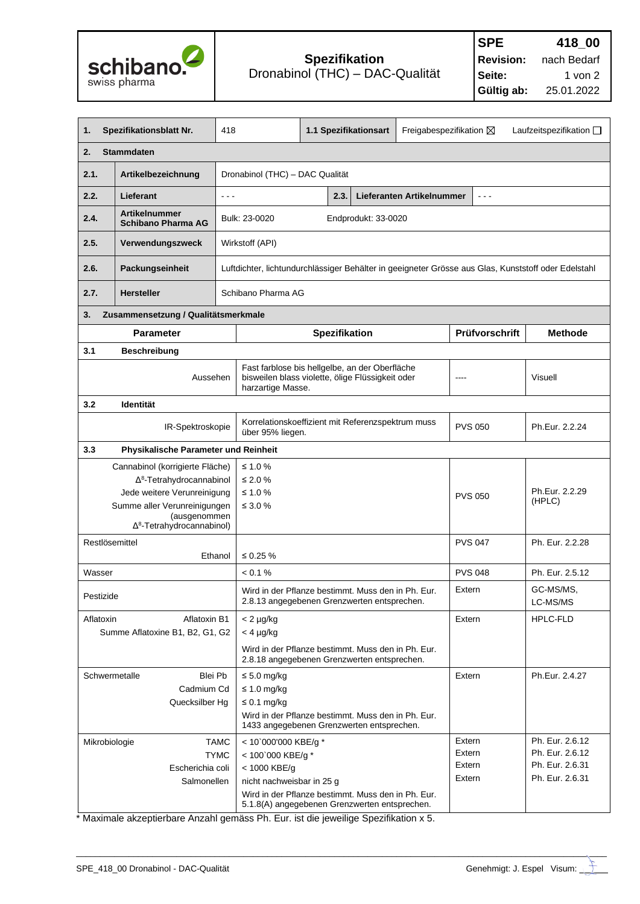

| 1.                                                                                                             | Spezifikationsblatt Nr.                           | 418                                  | 1.1 Spezifikationsart                                                                              |                     | Freigabespezifikation $\boxtimes$ |                       | Laufzeitspezifikation $\square$                                                                     |
|----------------------------------------------------------------------------------------------------------------|---------------------------------------------------|--------------------------------------|----------------------------------------------------------------------------------------------------|---------------------|-----------------------------------|-----------------------|-----------------------------------------------------------------------------------------------------|
| 2.                                                                                                             | <b>Stammdaten</b>                                 |                                      |                                                                                                    |                     |                                   |                       |                                                                                                     |
| 2.1.                                                                                                           | Artikelbezeichnung                                |                                      | Dronabinol (THC) - DAC Qualität                                                                    |                     |                                   |                       |                                                                                                     |
| 2.2.                                                                                                           | Lieferant                                         | $\sim$ $\sim$ $\sim$                 | 2.3.                                                                                               |                     | Lieferanten Artikelnummer         | $\sim$ $\sim$ $\sim$  |                                                                                                     |
| 2.4.                                                                                                           | <b>Artikelnummer</b><br><b>Schibano Pharma AG</b> | Bulk: 23-0020                        |                                                                                                    | Endprodukt: 33-0020 |                                   |                       |                                                                                                     |
| 2.5.                                                                                                           | Verwendungszweck                                  | Wirkstoff (API)                      |                                                                                                    |                     |                                   |                       |                                                                                                     |
| 2.6.                                                                                                           | Packungseinheit                                   |                                      |                                                                                                    |                     |                                   |                       | Luftdichter, lichtundurchlässiger Behälter in geeigneter Grösse aus Glas, Kunststoff oder Edelstahl |
| 2.7.                                                                                                           | <b>Hersteller</b>                                 | Schibano Pharma AG                   |                                                                                                    |                     |                                   |                       |                                                                                                     |
| 3.                                                                                                             | Zusammensetzung / Qualitätsmerkmale               |                                      |                                                                                                    |                     |                                   |                       |                                                                                                     |
|                                                                                                                | <b>Parameter</b>                                  |                                      | <b>Spezifikation</b>                                                                               |                     |                                   | Prüfvorschrift        | <b>Methode</b>                                                                                      |
| 3.1                                                                                                            | <b>Beschreibung</b>                               |                                      |                                                                                                    |                     |                                   |                       |                                                                                                     |
|                                                                                                                | Aussehen                                          | harzartige Masse.                    | Fast farblose bis hellgelbe, an der Oberfläche<br>bisweilen blass violette, ölige Flüssigkeit oder |                     |                                   |                       | <b>Visuell</b>                                                                                      |
| 3.2                                                                                                            | Identität                                         |                                      |                                                                                                    |                     |                                   |                       |                                                                                                     |
|                                                                                                                | IR-Spektroskopie                                  |                                      | Korrelationskoeffizient mit Referenzspektrum muss<br>über 95% liegen.                              |                     | <b>PVS 050</b>                    | Ph.Eur. 2.2.24        |                                                                                                     |
| 3.3                                                                                                            | Physikalische Parameter und Reinheit              |                                      |                                                                                                    |                     |                                   |                       |                                                                                                     |
| Cannabinol (korrigierte Fläche)                                                                                |                                                   | ≤ 1.0 %                              |                                                                                                    |                     |                                   |                       |                                                                                                     |
| $\Delta^8$ -Tetrahydrocannabinol                                                                               |                                                   | ≤ 2.0 %<br>≤ 1.0 $%$                 |                                                                                                    |                     |                                   |                       | Ph.Eur. 2.2.29                                                                                      |
| Jede weitere Verunreinigung<br>Summe aller Verunreinigungen                                                    |                                                   | $\leq 3.0 \%$                        |                                                                                                    |                     | <b>PVS 050</b>                    | (HPLC)                |                                                                                                     |
| (ausgenommen<br>$\Delta^8$ -Tetrahydrocannabinol)                                                              |                                                   |                                      |                                                                                                    |                     |                                   |                       |                                                                                                     |
| Restlösemittel<br>Ethanol                                                                                      |                                                   | $\leq 0.25 \%$                       |                                                                                                    |                     |                                   | <b>PVS 047</b>        | Ph. Eur. 2.2.28                                                                                     |
| Wasser                                                                                                         |                                                   | < 0.1 %                              |                                                                                                    |                     |                                   | <b>PVS 048</b>        | Ph. Eur. 2.5.12                                                                                     |
| Wird in der Pflanze bestimmt. Muss den in Ph. Eur.<br>Pestizide<br>2.8.13 angegebenen Grenzwerten entsprechen. |                                                   |                                      |                                                                                                    |                     | Extern                            | GC-MS/MS,<br>LC-MS/MS |                                                                                                     |
| Aflatoxin                                                                                                      | Aflatoxin B1                                      | $<$ 2 $\mu$ g/kg                     |                                                                                                    |                     |                                   | Extern                | <b>HPLC-FLD</b>                                                                                     |
|                                                                                                                | Summe Aflatoxine B1, B2, G1, G2                   | $<$ 4 $\mu$ g/kg                     |                                                                                                    |                     |                                   |                       |                                                                                                     |
|                                                                                                                |                                                   |                                      | Wird in der Pflanze bestimmt. Muss den in Ph. Eur.<br>2.8.18 angegebenen Grenzwerten entsprechen.  |                     |                                   |                       |                                                                                                     |
| Schwermetalle                                                                                                  | Blei Pb                                           | $\leq 5.0$ mg/kg                     |                                                                                                    | Extern              | Ph.Eur. 2.4.27                    |                       |                                                                                                     |
|                                                                                                                | Cadmium Cd<br>Quecksilber Hg                      | $\leq 1.0$ mg/kg<br>$\leq$ 0.1 mg/kg |                                                                                                    |                     |                                   |                       |                                                                                                     |
|                                                                                                                |                                                   |                                      | Wird in der Pflanze bestimmt. Muss den in Ph. Eur.<br>1433 angegebenen Grenzwerten entsprechen.    |                     |                                   |                       |                                                                                                     |
| Mikrobiologie                                                                                                  |                                                   | <b>TAMC</b>                          | < 10`000'000 KBE/g *                                                                               |                     | Extern                            | Ph. Eur. 2.6.12       |                                                                                                     |
|                                                                                                                |                                                   | <b>TYMC</b><br>< 100`000 KBE/g *     |                                                                                                    |                     |                                   | Extern                | Ph. Eur. 2.6.12                                                                                     |
|                                                                                                                | Escherichia coli<br>Salmonellen                   | < 1000 KBE/g                         |                                                                                                    |                     |                                   | Extern<br>Extern      | Ph. Eur. 2.6.31<br>Ph. Eur. 2.6.31                                                                  |
|                                                                                                                |                                                   | nicht nachweisbar in 25 g            | Wird in der Pflanze bestimmt. Muss den in Ph. Eur.                                                 |                     |                                   |                       |                                                                                                     |
|                                                                                                                |                                                   |                                      | 5.1.8(A) angegebenen Grenzwerten entsprechen.                                                      |                     |                                   |                       |                                                                                                     |

 $\_$  ,  $\_$  ,  $\_$  ,  $\_$  ,  $\_$  ,  $\_$  ,  $\_$  ,  $\_$  ,  $\_$  ,  $\_$  ,  $\_$  ,  $\_$  ,  $\_$  ,  $\_$  ,  $\_$  ,  $\_$  ,  $\_$  ,  $\_$  ,  $\_$  ,  $\_$  ,  $\_$  ,  $\_$  ,  $\_$  ,  $\_$  ,  $\_$  ,  $\_$  ,  $\_$  ,  $\_$  ,  $\_$  ,  $\_$  ,  $\_$  ,  $\_$  ,  $\_$  ,  $\_$  ,  $\_$  ,  $\_$  ,  $\_$  ,

\* Maximale akzeptierbare Anzahl gemäss Ph. Eur. ist die jeweilige Spezifikation x 5.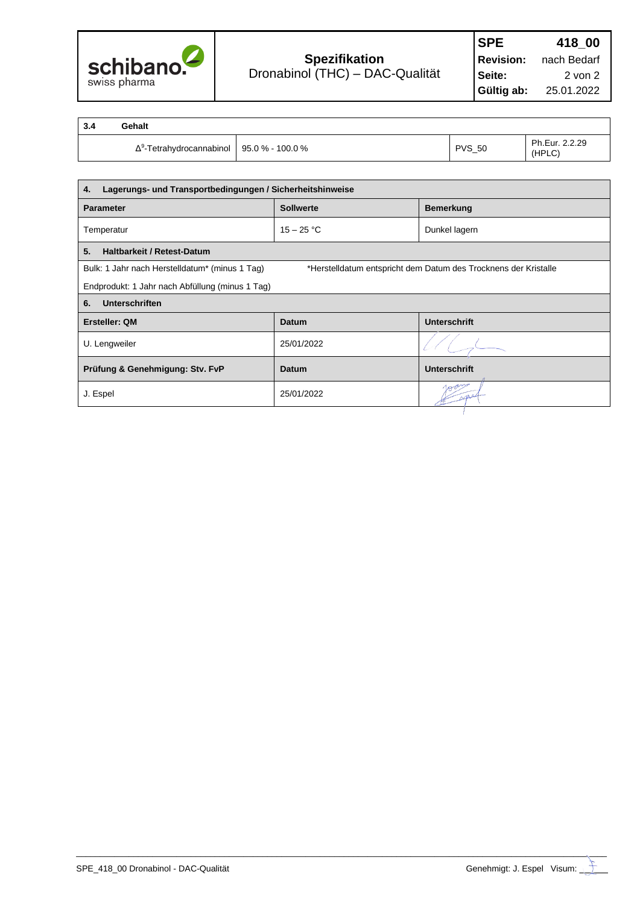

1

| 3.4 | Gehalt                                              |               |                          |
|-----|-----------------------------------------------------|---------------|--------------------------|
|     | $\Delta^9$ -Tetrahydrocannabinol   95.0 % - 100.0 % | <b>PVS_50</b> | Ph.Eur. 2.2.29<br>(HPLC) |

| Lagerungs- und Transportbedingungen / Sicherheitshinweise<br>4. |                  |                                                                 |  |
|-----------------------------------------------------------------|------------------|-----------------------------------------------------------------|--|
| <b>Parameter</b>                                                | <b>Sollwerte</b> | <b>Bemerkung</b>                                                |  |
| Temperatur                                                      | $15 - 25 °C$     | Dunkel lagern                                                   |  |
| 5.<br><b>Haltbarkeit / Retest-Datum</b>                         |                  |                                                                 |  |
| Bulk: 1 Jahr nach Herstelldatum* (minus 1 Tag)                  |                  | *Herstelldatum entspricht dem Datum des Trocknens der Kristalle |  |
| Endprodukt: 1 Jahr nach Abfüllung (minus 1 Tag)                 |                  |                                                                 |  |
| Unterschriften<br>6.                                            |                  |                                                                 |  |
| <b>Ersteller: QM</b>                                            | <b>Datum</b>     | <b>Unterschrift</b>                                             |  |
| U. Lengweiler                                                   | 25/01/2022       |                                                                 |  |
| Prüfung & Genehmigung: Stv. FvP                                 | Datum            | <b>Unterschrift</b>                                             |  |
| J. Espel                                                        | 25/01/2022       |                                                                 |  |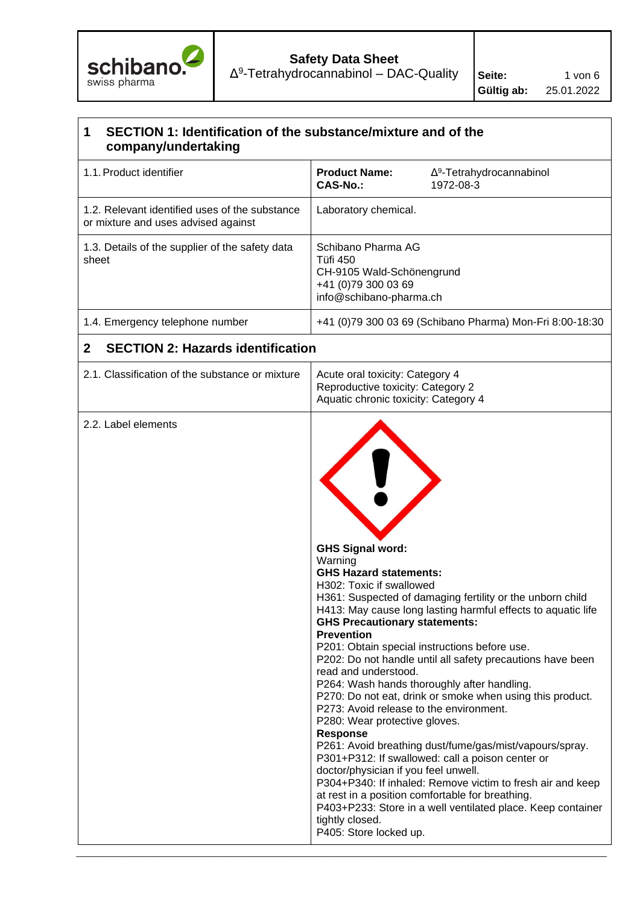

## **Safety Data Sheet**

 $Δ<sup>9</sup>-Tetrahydrocannabinol – DAC-Quality$  Seite: 1 von 6

### **1 SECTION 1: Identification of the substance/mixture and of the company/undertaking**  1.1.Product identifier **Product Name:** Δ<sup>9</sup> Δ<sup>9</sup>-Tetrahydrocannabinol **CAS-No.:** 1972-08-3 1.2. Relevant identified uses of the substance or mixture and uses advised against Laboratory chemical. 1.3. Details of the supplier of the safety data sheet Schibano Pharma AG Tüfi 450 CH-9105 Wald-Schönengrund +41 (0)79 300 03 69 info@schibano-pharma.ch 1.4. Emergency telephone number +41 (0)79 300 03 69 (Schibano Pharma) Mon-Fri 8:00-18:30 **2 SECTION 2: Hazards identification**  2.1. Classification of the substance or mixture  $\parallel$  Acute oral toxicity: Category 4 Reproductive toxicity: Category 2 Aquatic chronic toxicity: Category 4 2.2. Label elements **GHS Signal word:**  Warning **GHS Hazard statements:** H302: Toxic if swallowed H361: Suspected of damaging fertility or the unborn child H413: May cause long lasting harmful effects to aquatic life **GHS Precautionary statements: Prevention** P201: Obtain special instructions before use. P202: Do not handle until all safety precautions have been read and understood. P264: Wash hands thoroughly after handling. P270: Do not eat, drink or smoke when using this product. P273: Avoid release to the environment. P280: Wear protective gloves. **Response** P261: Avoid breathing dust/fume/gas/mist/vapours/spray. P301+P312: If swallowed: call a poison center or doctor/physician if you feel unwell. P304+P340: If inhaled: Remove victim to fresh air and keep at rest in a position comfortable for breathing. P403+P233: Store in a well ventilated place. Keep container tightly closed. P405: Store locked up.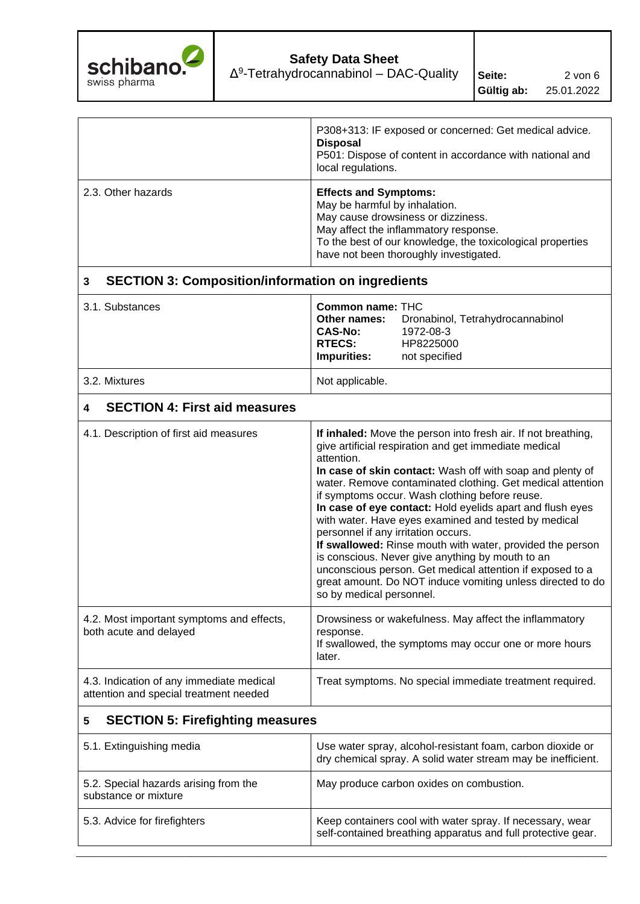

|                                                                                    | P308+313: IF exposed or concerned: Get medical advice.<br><b>Disposal</b><br>P501: Dispose of content in accordance with national and<br>local regulations.                                                                                                                                                                                                                                                                                                                                                                                                                                                                                                                                                                                           |  |  |  |
|------------------------------------------------------------------------------------|-------------------------------------------------------------------------------------------------------------------------------------------------------------------------------------------------------------------------------------------------------------------------------------------------------------------------------------------------------------------------------------------------------------------------------------------------------------------------------------------------------------------------------------------------------------------------------------------------------------------------------------------------------------------------------------------------------------------------------------------------------|--|--|--|
| 2.3. Other hazards                                                                 | <b>Effects and Symptoms:</b><br>May be harmful by inhalation.<br>May cause drowsiness or dizziness.<br>May affect the inflammatory response.<br>To the best of our knowledge, the toxicological properties<br>have not been thoroughly investigated.                                                                                                                                                                                                                                                                                                                                                                                                                                                                                                  |  |  |  |
| <b>SECTION 3: Composition/information on ingredients</b><br>3                      |                                                                                                                                                                                                                                                                                                                                                                                                                                                                                                                                                                                                                                                                                                                                                       |  |  |  |
| 3.1. Substances                                                                    | <b>Common name: THC</b><br>Other names:<br>Dronabinol, Tetrahydrocannabinol<br><b>CAS-No:</b><br>1972-08-3<br><b>RTECS:</b><br>HP8225000<br><b>Impurities:</b><br>not specified                                                                                                                                                                                                                                                                                                                                                                                                                                                                                                                                                                       |  |  |  |
| 3.2. Mixtures                                                                      | Not applicable.                                                                                                                                                                                                                                                                                                                                                                                                                                                                                                                                                                                                                                                                                                                                       |  |  |  |
| <b>SECTION 4: First aid measures</b><br>4                                          |                                                                                                                                                                                                                                                                                                                                                                                                                                                                                                                                                                                                                                                                                                                                                       |  |  |  |
| 4.1. Description of first aid measures                                             | If inhaled: Move the person into fresh air. If not breathing,<br>give artificial respiration and get immediate medical<br>attention.<br>In case of skin contact: Wash off with soap and plenty of<br>water. Remove contaminated clothing. Get medical attention<br>if symptoms occur. Wash clothing before reuse.<br>In case of eye contact: Hold eyelids apart and flush eyes<br>with water. Have eyes examined and tested by medical<br>personnel if any irritation occurs.<br>If swallowed: Rinse mouth with water, provided the person<br>is conscious. Never give anything by mouth to an<br>unconscious person. Get medical attention if exposed to a<br>great amount. Do NOT induce vomiting unless directed to do<br>so by medical personnel. |  |  |  |
| 4.2. Most important symptoms and effects,<br>both acute and delayed                | Drowsiness or wakefulness. May affect the inflammatory<br>response.<br>If swallowed, the symptoms may occur one or more hours<br>later.                                                                                                                                                                                                                                                                                                                                                                                                                                                                                                                                                                                                               |  |  |  |
| 4.3. Indication of any immediate medical<br>attention and special treatment needed | Treat symptoms. No special immediate treatment required.                                                                                                                                                                                                                                                                                                                                                                                                                                                                                                                                                                                                                                                                                              |  |  |  |
| <b>SECTION 5: Firefighting measures</b><br>5                                       |                                                                                                                                                                                                                                                                                                                                                                                                                                                                                                                                                                                                                                                                                                                                                       |  |  |  |
| 5.1. Extinguishing media                                                           | Use water spray, alcohol-resistant foam, carbon dioxide or<br>dry chemical spray. A solid water stream may be inefficient.                                                                                                                                                                                                                                                                                                                                                                                                                                                                                                                                                                                                                            |  |  |  |
| 5.2. Special hazards arising from the<br>substance or mixture                      | May produce carbon oxides on combustion.                                                                                                                                                                                                                                                                                                                                                                                                                                                                                                                                                                                                                                                                                                              |  |  |  |
| 5.3. Advice for firefighters                                                       | Keep containers cool with water spray. If necessary, wear<br>self-contained breathing apparatus and full protective gear.                                                                                                                                                                                                                                                                                                                                                                                                                                                                                                                                                                                                                             |  |  |  |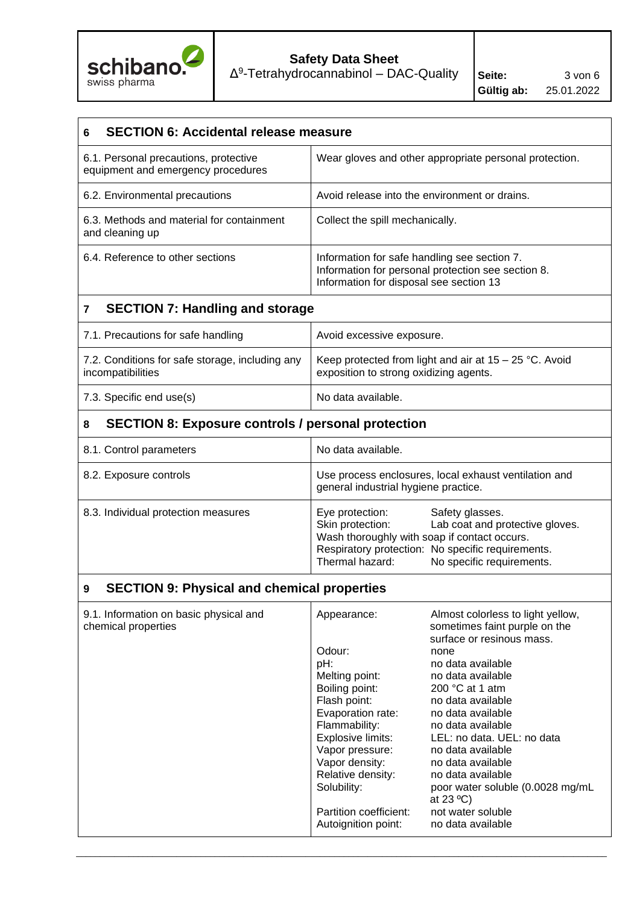

# **Safety Data Sheet**

 $Δ<sup>9</sup>-Tetrahydrocannabinol – DAC-Quality$  Seite: 3 von 6

| <b>SECTION 6: Accidental release measure</b><br>6                           |                                                                                                                                               |  |  |  |
|-----------------------------------------------------------------------------|-----------------------------------------------------------------------------------------------------------------------------------------------|--|--|--|
| 6.1. Personal precautions, protective<br>equipment and emergency procedures | Wear gloves and other appropriate personal protection.                                                                                        |  |  |  |
| 6.2. Environmental precautions                                              | Avoid release into the environment or drains.                                                                                                 |  |  |  |
| 6.3. Methods and material for containment<br>and cleaning up                | Collect the spill mechanically.                                                                                                               |  |  |  |
| 6.4. Reference to other sections                                            | Information for safe handling see section 7.<br>Information for personal protection see section 8.<br>Information for disposal see section 13 |  |  |  |
| <b>SECTION 7: Handling and storage</b><br>$\overline{7}$                    |                                                                                                                                               |  |  |  |
| 7.1. Precautions for safe handling                                          | Avoid excessive exposure.                                                                                                                     |  |  |  |
| 7.2. Conditions for safe storage, including any<br>incompatibilities        | Keep protected from light and air at $15 - 25$ °C. Avoid<br>exposition to strong oxidizing agents.                                            |  |  |  |

## **8 SECTION 8: Exposure controls / personal protection**

7.3. Specific end use(s) No data available.

| 8.1. Control parameters             | No data available.                                                                                                                                                                                                                             |
|-------------------------------------|------------------------------------------------------------------------------------------------------------------------------------------------------------------------------------------------------------------------------------------------|
| 8.2. Exposure controls              | Use process enclosures, local exhaust ventilation and<br>general industrial hygiene practice.                                                                                                                                                  |
| 8.3. Individual protection measures | Eye protection:<br>Safety glasses.<br>Lab coat and protective gloves.<br>Skin protection:<br>Wash thoroughly with soap if contact occurs.<br>Respiratory protection: No specific requirements.<br>Thermal hazard:<br>No specific requirements. |

### **9 SECTION 9: Physical and chemical properties**

| 9.1. Information on basic physical and<br>chemical properties | Appearance:            | Almost colorless to light yellow,<br>sometimes faint purple on the<br>surface or resinous mass. |
|---------------------------------------------------------------|------------------------|-------------------------------------------------------------------------------------------------|
|                                                               | Odour:                 | none                                                                                            |
|                                                               | pH:                    | no data available                                                                               |
|                                                               | Melting point:         | no data available                                                                               |
|                                                               | Boiling point:         | 200 $\degree$ C at 1 atm                                                                        |
|                                                               | Flash point:           | no data available                                                                               |
|                                                               | Evaporation rate:      | no data available                                                                               |
|                                                               | Flammability:          | no data available                                                                               |
|                                                               | Explosive limits:      | LEL: no data. UEL: no data                                                                      |
|                                                               | Vapor pressure:        | no data available                                                                               |
|                                                               | Vapor density:         | no data available                                                                               |
|                                                               | Relative density:      | no data available                                                                               |
|                                                               | Solubility:            | poor water soluble (0.0028 mg/mL<br>at $23^{\circ}$ C)                                          |
|                                                               | Partition coefficient: | not water soluble                                                                               |
|                                                               | Autoignition point:    | no data available                                                                               |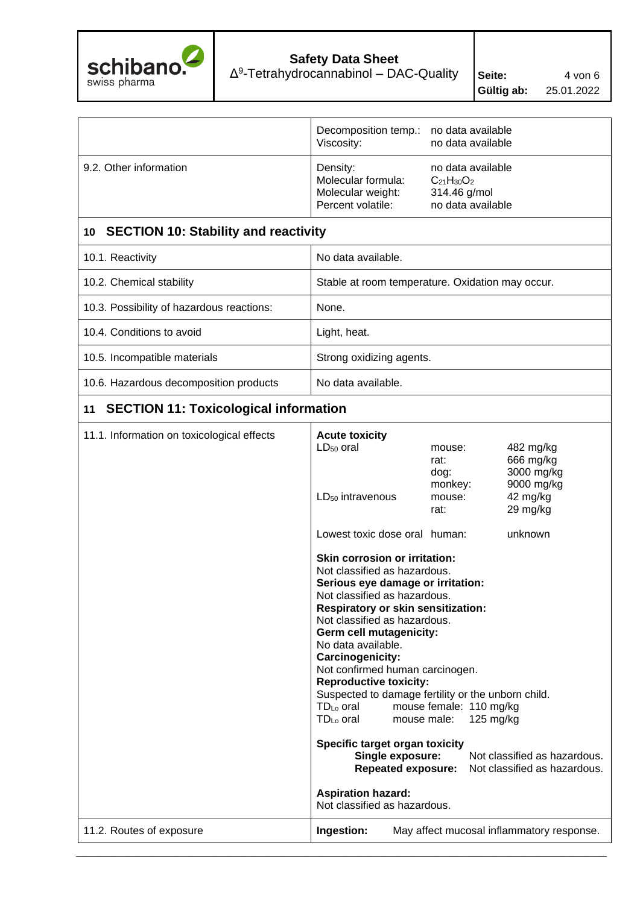

|                                                    | Decomposition temp.:<br>Viscosity:                                                                                                                                                                                                                        | no data available<br>no data available                                      |                                                                            |  |
|----------------------------------------------------|-----------------------------------------------------------------------------------------------------------------------------------------------------------------------------------------------------------------------------------------------------------|-----------------------------------------------------------------------------|----------------------------------------------------------------------------|--|
| 9.2. Other information                             | Density:<br>Molecular formula:<br>Molecular weight:<br>Percent volatile:                                                                                                                                                                                  | no data available<br>$C_{21}H_{30}O_2$<br>314.46 g/mol<br>no data available |                                                                            |  |
| 10 SECTION 10: Stability and reactivity            |                                                                                                                                                                                                                                                           |                                                                             |                                                                            |  |
| 10.1. Reactivity                                   | No data available.                                                                                                                                                                                                                                        |                                                                             |                                                                            |  |
| 10.2. Chemical stability                           | Stable at room temperature. Oxidation may occur.                                                                                                                                                                                                          |                                                                             |                                                                            |  |
| 10.3. Possibility of hazardous reactions:          | None.                                                                                                                                                                                                                                                     |                                                                             |                                                                            |  |
| 10.4. Conditions to avoid                          | Light, heat.                                                                                                                                                                                                                                              |                                                                             |                                                                            |  |
| 10.5. Incompatible materials                       | Strong oxidizing agents.                                                                                                                                                                                                                                  |                                                                             |                                                                            |  |
| 10.6. Hazardous decomposition products             | No data available.                                                                                                                                                                                                                                        |                                                                             |                                                                            |  |
| <b>SECTION 11: Toxicological information</b><br>11 |                                                                                                                                                                                                                                                           |                                                                             |                                                                            |  |
| 11.1. Information on toxicological effects         | <b>Acute toxicity</b><br>LD <sub>50</sub> oral<br>LD <sub>50</sub> intravenous                                                                                                                                                                            | mouse:<br>rat:<br>dog:<br>monkey:<br>mouse:<br>rat:                         | 482 mg/kg<br>666 mg/kg<br>3000 mg/kg<br>9000 mg/kg<br>42 mg/kg<br>29 mg/kg |  |
|                                                    | Lowest toxic dose oral human:                                                                                                                                                                                                                             |                                                                             | unknown                                                                    |  |
|                                                    | Skin corrosion or irritation:<br>Not classified as hazardous.<br>Serious eye damage or irritation:<br>Not classified as hazardous.<br>Respiratory or skin sensitization:<br>Not classified as hazardous.<br>Germ cell mutagenicity:<br>No data available. |                                                                             |                                                                            |  |

**Carcinogenicity:**

**Reproductive toxicity:**

Not confirmed human carcinogen.

**Specific target organ toxicity**

Suspected to damage fertility or the unborn child. TDLo oral mouse female: 110 mg/kg TDLo oral mouse male: 125 mg/kg

> **Single exposure:** Not classified as hazardous. **Repeated exposure:** Not classified as hazardous.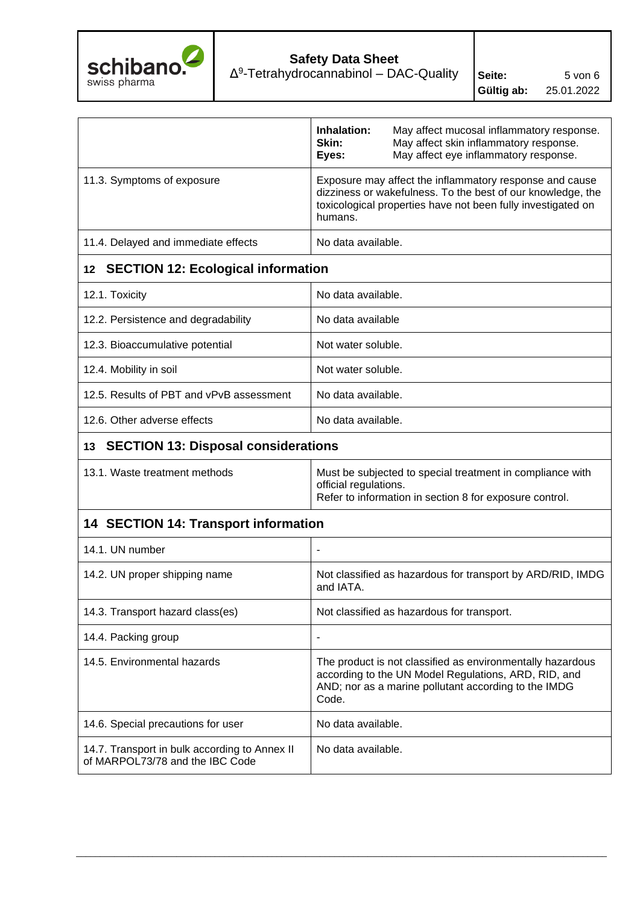

|                                                                                  | Inhalation:<br>Skin:<br>Eyes:                                                                                                                                                                     | May affect mucosal inflammatory response.<br>May affect skin inflammatory response.<br>May affect eye inflammatory response.                                               |  |  |
|----------------------------------------------------------------------------------|---------------------------------------------------------------------------------------------------------------------------------------------------------------------------------------------------|----------------------------------------------------------------------------------------------------------------------------------------------------------------------------|--|--|
| 11.3. Symptoms of exposure                                                       | Exposure may affect the inflammatory response and cause<br>dizziness or wakefulness. To the best of our knowledge, the<br>toxicological properties have not been fully investigated on<br>humans. |                                                                                                                                                                            |  |  |
| 11.4. Delayed and immediate effects                                              | No data available.                                                                                                                                                                                |                                                                                                                                                                            |  |  |
| <b>SECTION 12: Ecological information</b><br>12 <sup>°</sup>                     |                                                                                                                                                                                                   |                                                                                                                                                                            |  |  |
| 12.1. Toxicity                                                                   | No data available.                                                                                                                                                                                |                                                                                                                                                                            |  |  |
| 12.2. Persistence and degradability                                              | No data available                                                                                                                                                                                 |                                                                                                                                                                            |  |  |
| 12.3. Bioaccumulative potential                                                  | Not water soluble.                                                                                                                                                                                |                                                                                                                                                                            |  |  |
| 12.4. Mobility in soil                                                           | Not water soluble.                                                                                                                                                                                |                                                                                                                                                                            |  |  |
| 12.5. Results of PBT and vPvB assessment                                         | No data available.                                                                                                                                                                                |                                                                                                                                                                            |  |  |
| 12.6. Other adverse effects                                                      | No data available.                                                                                                                                                                                |                                                                                                                                                                            |  |  |
| <b>SECTION 13: Disposal considerations</b><br>13                                 |                                                                                                                                                                                                   |                                                                                                                                                                            |  |  |
| 13.1. Waste treatment methods                                                    | official regulations.                                                                                                                                                                             | Must be subjected to special treatment in compliance with<br>Refer to information in section 8 for exposure control.                                                       |  |  |
| <b>14 SECTION 14: Transport information</b>                                      |                                                                                                                                                                                                   |                                                                                                                                                                            |  |  |
| 14.1. UN number                                                                  | $\overline{\phantom{a}}$                                                                                                                                                                          |                                                                                                                                                                            |  |  |
| 14.2. UN proper shipping name                                                    | and IATA.                                                                                                                                                                                         | Not classified as hazardous for transport by ARD/RID, IMDG                                                                                                                 |  |  |
| 14.3. Transport hazard class(es)                                                 |                                                                                                                                                                                                   | Not classified as hazardous for transport.                                                                                                                                 |  |  |
| 14.4. Packing group                                                              |                                                                                                                                                                                                   |                                                                                                                                                                            |  |  |
| 14.5. Environmental hazards                                                      | Code.                                                                                                                                                                                             | The product is not classified as environmentally hazardous<br>according to the UN Model Regulations, ARD, RID, and<br>AND; nor as a marine pollutant according to the IMDG |  |  |
| 14.6. Special precautions for user                                               | No data available.                                                                                                                                                                                |                                                                                                                                                                            |  |  |
| 14.7. Transport in bulk according to Annex II<br>of MARPOL73/78 and the IBC Code | No data available.                                                                                                                                                                                |                                                                                                                                                                            |  |  |